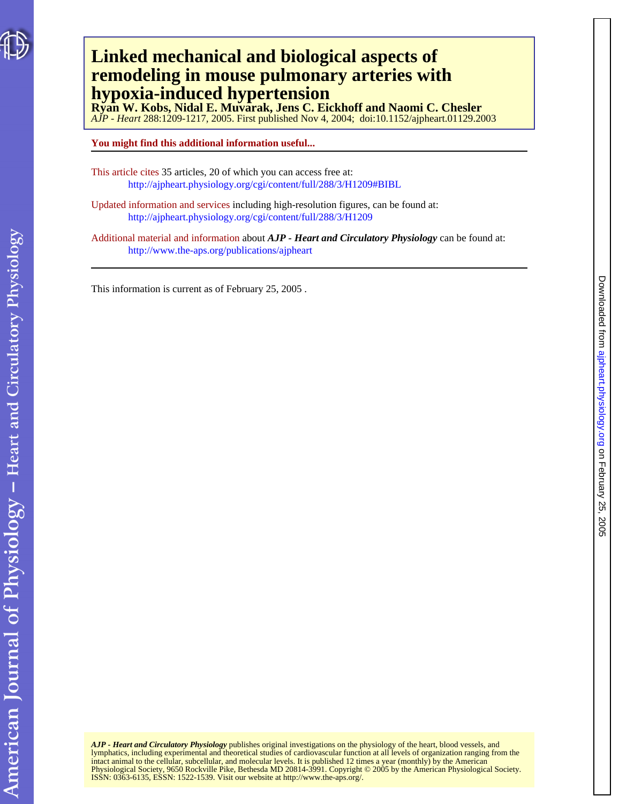## **hypoxia-induced hypertension remodeling in mouse pulmonary arteries with Linked mechanical and biological aspects of**

*AJP - Heart* 288:1209-1217, 2005. First published Nov 4, 2004; doi:10.1152/ajpheart.01129.2003 **Ryan W. Kobs, Nidal E. Muvarak, Jens C. Eickhoff and Naomi C. Chesler** 

**You might find this additional information useful...**

This article cites 35 articles, 20 of which you can access free at: <http://ajpheart.physiology.org/cgi/content/full/288/3/H1209#BIBL>

Updated information and services including high-resolution figures, can be found at: <http://ajpheart.physiology.org/cgi/content/full/288/3/H1209>

Additional material and information about *AJP - Heart and Circulatory Physiology* can be found at: <http://www.the-aps.org/publications/ajpheart>

This information is current as of February 25, 2005 .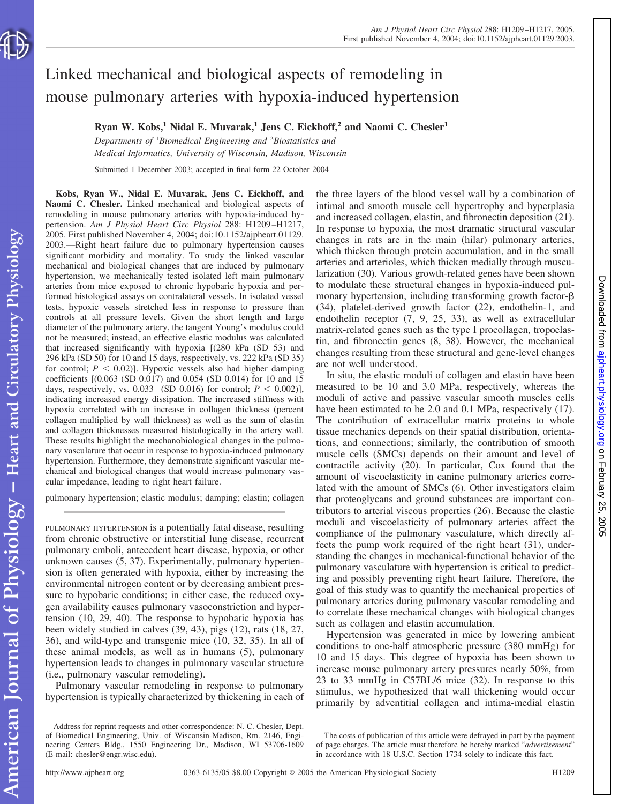

# Linked mechanical and biological aspects of remodeling in mouse pulmonary arteries with hypoxia-induced hypertension

**Ryan W. Kobs,1 Nidal E. Muvarak,1 Jens C. Eickhoff,2 and Naomi C. Chesler1**

*Departments of* <sup>1</sup> *Biomedical Engineering and* <sup>2</sup> *Biostatistics and Medical Informatics, University of Wisconsin, Madison, Wisconsin*

Submitted 1 December 2003; accepted in final form 22 October 2004

**Kobs, Ryan W., Nidal E. Muvarak, Jens C. Eickhoff, and Naomi C. Chesler.** Linked mechanical and biological aspects of remodeling in mouse pulmonary arteries with hypoxia-induced hypertension. *Am J Physiol Heart Circ Physiol* 288: H1209 –H1217, 2005. First published November 4, 2004; doi:10.1152/ajpheart.01129. 2003.—Right heart failure due to pulmonary hypertension causes significant morbidity and mortality. To study the linked vascular mechanical and biological changes that are induced by pulmonary hypertension, we mechanically tested isolated left main pulmonary arteries from mice exposed to chronic hypobaric hypoxia and performed histological assays on contralateral vessels. In isolated vessel tests, hypoxic vessels stretched less in response to pressure than controls at all pressure levels. Given the short length and large diameter of the pulmonary artery, the tangent Young's modulus could not be measured; instead, an effective elastic modulus was calculated that increased significantly with hypoxia [(280 kPa (SD 53) and 296 kPa (SD 50) for 10 and 15 days, respectively, vs. 222 kPa (SD 35) for control;  $P < 0.02$ )]. Hypoxic vessels also had higher damping coefficients [(0.063 (SD 0.017) and 0.054 (SD 0.014) for 10 and 15 days, respectively, vs. 0.033 (SD 0.016) for control;  $P < 0.002$ ], indicating increased energy dissipation. The increased stiffness with hypoxia correlated with an increase in collagen thickness (percent collagen multiplied by wall thickness) as well as the sum of elastin and collagen thicknesses measured histologically in the artery wall. These results highlight the mechanobiological changes in the pulmonary vasculature that occur in response to hypoxia-induced pulmonary hypertension. Furthermore, they demonstrate significant vascular mechanical and biological changes that would increase pulmonary vascular impedance, leading to right heart failure.

pulmonary hypertension; elastic modulus; damping; elastin; collagen

PULMONARY HYPERTENSION is a potentially fatal disease, resulting from chronic obstructive or interstitial lung disease, recurrent pulmonary emboli, antecedent heart disease, hypoxia, or other unknown causes (5, 37). Experimentally, pulmonary hypertension is often generated with hypoxia, either by increasing the environmental nitrogen content or by decreasing ambient pressure to hypobaric conditions; in either case, the reduced oxygen availability causes pulmonary vasoconstriction and hypertension (10, 29, 40). The response to hypobaric hypoxia has been widely studied in calves (39, 43), pigs (12), rats (18, 27, 36), and wild-type and transgenic mice (10, 32, 35). In all of these animal models, as well as in humans (5), pulmonary hypertension leads to changes in pulmonary vascular structure (i.e., pulmonary vascular remodeling).

Pulmonary vascular remodeling in response to pulmonary hypertension is typically characterized by thickening in each of the three layers of the blood vessel wall by a combination of intimal and smooth muscle cell hypertrophy and hyperplasia and increased collagen, elastin, and fibronectin deposition (21). In response to hypoxia, the most dramatic structural vascular changes in rats are in the main (hilar) pulmonary arteries, which thicken through protein accumulation, and in the small arteries and arterioles, which thicken medially through muscularization (30). Various growth-related genes have been shown to modulate these structural changes in hypoxia-induced pulmonary hypertension, including transforming growth factor- $\beta$ (34), platelet-derived growth factor (22), endothelin-1, and endothelin receptor (7, 9, 25, 33), as well as extracellular matrix-related genes such as the type I procollagen, tropoelastin, and fibronectin genes (8, 38). However, the mechanical changes resulting from these structural and gene-level changes are not well understood.

In situ, the elastic moduli of collagen and elastin have been measured to be 10 and 3.0 MPa, respectively, whereas the moduli of active and passive vascular smooth muscles cells have been estimated to be 2.0 and 0.1 MPa, respectively  $(17)$ . The contribution of extracellular matrix proteins to whole tissue mechanics depends on their spatial distribution, orientations, and connections; similarly, the contribution of smooth muscle cells (SMCs) depends on their amount and level of contractile activity (20). In particular, Cox found that the amount of viscoelasticity in canine pulmonary arteries correlated with the amount of SMCs (6). Other investigators claim that proteoglycans and ground substances are important contributors to arterial viscous properties (26). Because the elastic moduli and viscoelasticity of pulmonary arteries affect the compliance of the pulmonary vasculature, which directly affects the pump work required of the right heart (31), understanding the changes in mechanical-functional behavior of the pulmonary vasculature with hypertension is critical to predicting and possibly preventing right heart failure. Therefore, the goal of this study was to quantify the mechanical properties of pulmonary arteries during pulmonary vascular remodeling and to correlate these mechanical changes with biological changes such as collagen and elastin accumulation.

Hypertension was generated in mice by lowering ambient conditions to one-half atmospheric pressure (380 mmHg) for 10 and 15 days. This degree of hypoxia has been shown to increase mouse pulmonary artery pressures nearly 50%, from 23 to 33 mmHg in C57BL/6 mice (32). In response to this stimulus, we hypothesized that wall thickening would occur primarily by adventitial collagen and intima-medial elastin

Address for reprint requests and other correspondence: N. C. Chesler, Dept. of Biomedical Engineering, Univ. of Wisconsin-Madison, Rm. 2146, Engineering Centers Bldg., 1550 Engineering Dr., Madison, WI 53706-1609 (E-mail: chesler@engr.wisc.edu).

The costs of publication of this article were defrayed in part by the payment of page charges. The article must therefore be hereby marked "*advertisement*" in accordance with 18 U.S.C. Section 1734 solely to indicate this fact.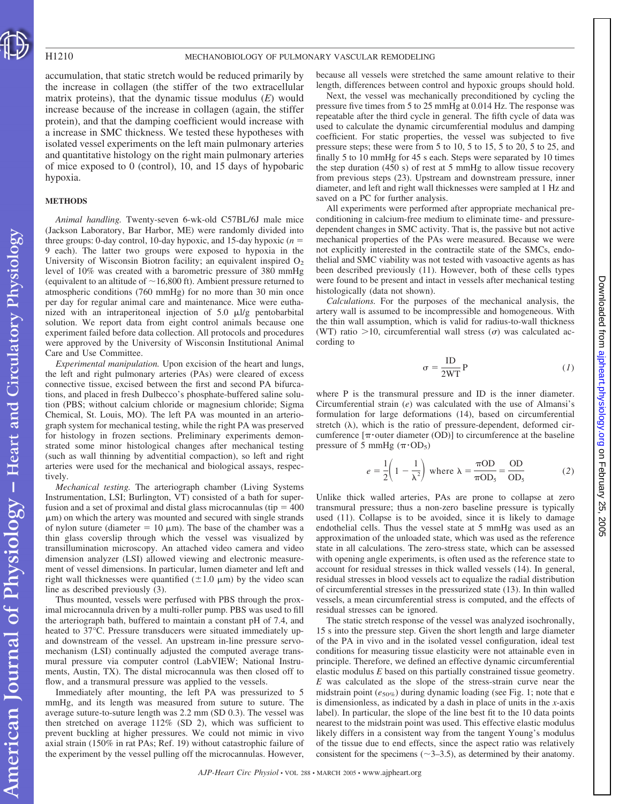accumulation, that static stretch would be reduced primarily by the increase in collagen (the stiffer of the two extracellular matrix proteins), that the dynamic tissue modulus (*E*) would increase because of the increase in collagen (again, the stiffer protein), and that the damping coefficient would increase with a increase in SMC thickness. We tested these hypotheses with isolated vessel experiments on the left main pulmonary arteries and quantitative histology on the right main pulmonary arteries of mice exposed to 0 (control), 10, and 15 days of hypobaric hypoxia.

#### **METHODS**

*Animal handling.* Twenty-seven 6-wk-old C57BL/6J male mice (Jackson Laboratory, Bar Harbor, ME) were randomly divided into three groups: 0-day control, 10-day hypoxic, and 15-day hypoxic  $(n =$ 9 each). The latter two groups were exposed to hypoxia in the University of Wisconsin Biotron facility; an equivalent inspired  $O<sub>2</sub>$ level of 10% was created with a barometric pressure of 380 mmHg (equivalent to an altitude of  $\sim$  16,800 ft). Ambient pressure returned to atmospheric conditions (760 mmHg) for no more than 30 min once per day for regular animal care and maintenance. Mice were euthanized with an intraperitoneal injection of  $5.0 \mu l/g$  pentobarbital solution. We report data from eight control animals because one experiment failed before data collection. All protocols and procedures were approved by the University of Wisconsin Institutional Animal Care and Use Committee.

*Experimental manipulation.* Upon excision of the heart and lungs, the left and right pulmonary arteries (PAs) were cleared of excess connective tissue, excised between the first and second PA bifurcations, and placed in fresh Dulbecco's phosphate-buffered saline solution (PBS; without calcium chloride or magnesium chloride; Sigma Chemical, St. Louis, MO). The left PA was mounted in an arteriograph system for mechanical testing, while the right PA was preserved for histology in frozen sections. Preliminary experiments demonstrated some minor histological changes after mechanical testing (such as wall thinning by adventitial compaction), so left and right arteries were used for the mechanical and biological assays, respectively.

*Mechanical testing.* The arteriograph chamber (Living Systems Instrumentation, LSI; Burlington, VT) consisted of a bath for superfusion and a set of proximal and distal glass microcannulas (tip  $=$  400  $\mu$ m) on which the artery was mounted and secured with single strands of nylon suture (diameter  $= 10 \mu m$ ). The base of the chamber was a thin glass coverslip through which the vessel was visualized by transillumination microscopy. An attached video camera and video dimension analyzer (LSI) allowed viewing and electronic measurement of vessel dimensions. In particular, lumen diameter and left and right wall thicknesses were quantified  $(\pm 1.0 \mu m)$  by the video scan line as described previously (3).

Thus mounted, vessels were perfused with PBS through the proximal microcannula driven by a multi-roller pump. PBS was used to fill the arteriograph bath, buffered to maintain a constant pH of 7.4, and heated to 37°C. Pressure transducers were situated immediately upand downstream of the vessel. An upstream in-line pressure servomechanism (LSI) continually adjusted the computed average transmural pressure via computer control (LabVIEW; National Instruments, Austin, TX). The distal microcannula was then closed off to flow, and a transmural pressure was applied to the vessels.

Immediately after mounting, the left PA was pressurized to 5 mmHg, and its length was measured from suture to suture. The average suture-to-suture length was 2.2 mm (SD 0.3). The vessel was then stretched on average 112% (SD 2), which was sufficient to prevent buckling at higher pressures. We could not mimic in vivo axial strain (150% in rat PAs; Ref. 19) without catastrophic failure of the experiment by the vessel pulling off the microcannulas. However, because all vessels were stretched the same amount relative to their length, differences between control and hypoxic groups should hold.

Next, the vessel was mechanically preconditioned by cycling the pressure five times from 5 to 25 mmHg at 0.014 Hz. The response was repeatable after the third cycle in general. The fifth cycle of data was used to calculate the dynamic circumferential modulus and damping coefficient. For static properties, the vessel was subjected to five pressure steps; these were from 5 to 10, 5 to 15, 5 to 20, 5 to 25, and finally 5 to 10 mmHg for 45 s each. Steps were separated by 10 times the step duration (450 s) of rest at 5 mmHg to allow tissue recovery from previous steps (23). Upstream and downstream pressure, inner diameter, and left and right wall thicknesses were sampled at 1 Hz and saved on a PC for further analysis.

All experiments were performed after appropriate mechanical preconditioning in calcium-free medium to eliminate time- and pressuredependent changes in SMC activity. That is, the passive but not active mechanical properties of the PAs were measured. Because we were not explicitly interested in the contractile state of the SMCs, endothelial and SMC viability was not tested with vasoactive agents as has been described previously (11). However, both of these cells types were found to be present and intact in vessels after mechanical testing histologically (data not shown).

*Calculations.* For the purposes of the mechanical analysis, the artery wall is assumed to be incompressible and homogeneous. With the thin wall assumption, which is valid for radius-to-wall thickness (WT) ratio  $>$ 10, circumferential wall stress ( $\sigma$ ) was calculated according to

$$
\sigma = \frac{\text{ID}}{2\text{WT}} \, \text{P} \tag{1}
$$

where P is the transmural pressure and ID is the inner diameter. Circumferential strain (*e*) was calculated with the use of Almansi's formulation for large deformations (14), based on circumferential stretch  $(\lambda)$ , which is the ratio of pressure-dependent, deformed circumference  $[\pi$  outer diameter (OD)] to circumference at the baseline pressure of 5 mmHg  $(\pi \cdot OD_5)$ 

$$
e = \frac{1}{2} \left( 1 - \frac{1}{\lambda^2} \right)
$$
 where  $\lambda = \frac{\pi OD}{\pi OD_5} = \frac{OD}{OD_5}$  (2)

Unlike thick walled arteries, PAs are prone to collapse at zero transmural pressure; thus a non-zero baseline pressure is typically used (11). Collapse is to be avoided, since it is likely to damage endothelial cells. Thus the vessel state at 5 mmHg was used as an approximation of the unloaded state, which was used as the reference state in all calculations. The zero-stress state, which can be assessed with opening angle experiments, is often used as the reference state to account for residual stresses in thick walled vessels (14). In general, residual stresses in blood vessels act to equalize the radial distribution of circumferential stresses in the pressurized state (13). In thin walled vessels, a mean circumferential stress is computed, and the effects of residual stresses can be ignored.

The static stretch response of the vessel was analyzed isochronally, 15 s into the pressure step. Given the short length and large diameter of the PA in vivo and in the isolated vessel configuration, ideal test conditions for measuring tissue elasticity were not attainable even in principle. Therefore, we defined an effective dynamic circumferential elastic modulus *E* based on this partially constrained tissue geometry. *E* was calculated as the slope of the stress-strain curve near the midstrain point (*e*50%) during dynamic loading (see Fig. 1; note that e is dimensionless, as indicated by a dash in place of units in the *x*-axis label). In particular, the slope of the line best fit to the 10 data points nearest to the midstrain point was used. This effective elastic modulus likely differs in a consistent way from the tangent Young's modulus of the tissue due to end effects, since the aspect ratio was relatively consistent for the specimens ( $\sim$ 3–3.5), as determined by their anatomy.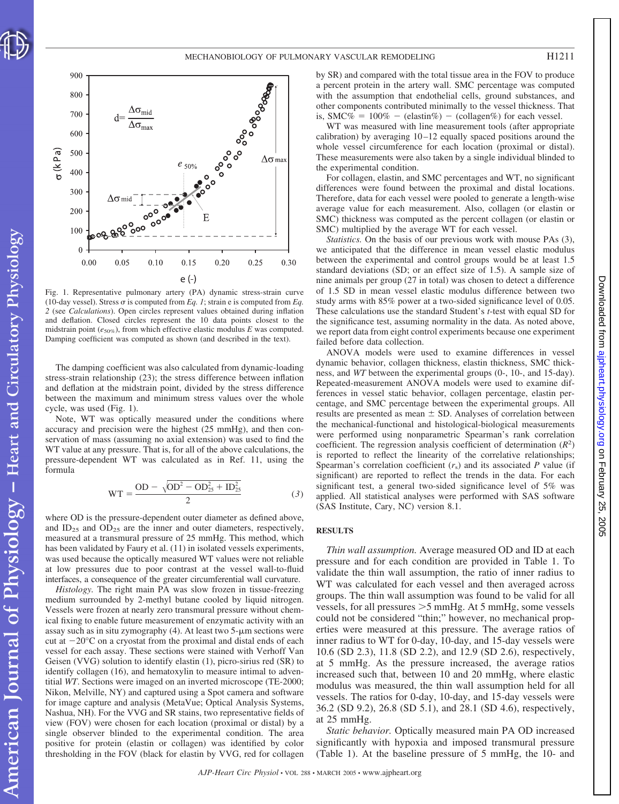



Fig. 1. Representative pulmonary artery (PA) dynamic stress-strain curve (10-day vessel). Stress  $\sigma$  is computed from *Eq. 1*; strain e is computed from *Eq. 2* (see *Calculations*). Open circles represent values obtained during inflation and deflation. Closed circles represent the 10 data points closest to the midstrain point (*e*50%), from which effective elastic modulus *E* was computed. Damping coefficient was computed as shown (and described in the text).

The damping coefficient was also calculated from dynamic-loading stress-strain relationship (23); the stress difference between inflation and deflation at the midstrain point, divided by the stress difference between the maximum and minimum stress values over the whole cycle, was used (Fig. 1).

Note, WT was optically measured under the conditions where accuracy and precision were the highest (25 mmHg), and then conservation of mass (assuming no axial extension) was used to find the WT value at any pressure. That is, for all of the above calculations, the pressure-dependent WT was calculated as in Ref. 11, using the formula

$$
WT = \frac{OD - \sqrt{OD^2 - OD_{25}^2 + ID_{25}^2}}{2}
$$
 (3)

where OD is the pressure-dependent outer diameter as defined above, and  $ID_{25}$  and  $OD_{25}$  are the inner and outer diameters, respectively, measured at a transmural pressure of 25 mmHg. This method, which has been validated by Faury et al. (11) in isolated vessels experiments, was used because the optically measured WT values were not reliable at low pressures due to poor contrast at the vessel wall-to-fluid interfaces, a consequence of the greater circumferential wall curvature.

*Histology.* The right main PA was slow frozen in tissue-freezing medium surrounded by 2-methyl butane cooled by liquid nitrogen. Vessels were frozen at nearly zero transmural pressure without chemical fixing to enable future measurement of enzymatic activity with an assay such as in situ zymography  $(4)$ . At least two  $5-\mu m$  sections were cut at  $-20^{\circ}$ C on a cryostat from the proximal and distal ends of each vessel for each assay. These sections were stained with Verhoff Van Geisen (VVG) solution to identify elastin (1), picro-sirius red (SR) to identify collagen (16), and hematoxylin to measure intimal to adventitial *WT*. Sections were imaged on an inverted microscope (TE-2000; Nikon, Melville, NY) and captured using a Spot camera and software for image capture and analysis (MetaVue; Optical Analysis Systems, Nashua, NH). For the VVG and SR stains, two representative fields of view (FOV) were chosen for each location (proximal or distal) by a single observer blinded to the experimental condition. The area positive for protein (elastin or collagen) was identified by color thresholding in the FOV (black for elastin by VVG, red for collagen by SR) and compared with the total tissue area in the FOV to produce a percent protein in the artery wall. SMC percentage was computed with the assumption that endothelial cells, ground substances, and other components contributed minimally to the vessel thickness. That is, SMC% =  $100\%$  - (elastin%) - (collagen%) for each vessel.

WT was measured with line measurement tools (after appropriate calibration) by averaging  $10-12$  equally spaced positions around the whole vessel circumference for each location (proximal or distal). These measurements were also taken by a single individual blinded to the experimental condition.

For collagen, elastin, and SMC percentages and WT, no significant differences were found between the proximal and distal locations. Therefore, data for each vessel were pooled to generate a length-wise average value for each measurement. Also, collagen (or elastin or SMC) thickness was computed as the percent collagen (or elastin or SMC) multiplied by the average WT for each vessel.

*Statistics.* On the basis of our previous work with mouse PAs (3), we anticipated that the difference in mean vessel elastic modulus between the experimental and control groups would be at least 1.5 standard deviations (SD; or an effect size of 1.5). A sample size of nine animals per group (27 in total) was chosen to detect a difference of 1.5 SD in mean vessel elastic modulus difference between two study arms with 85% power at a two-sided significance level of 0.05. These calculations use the standard Student's *t*-test with equal SD for the significance test, assuming normality in the data. As noted above, we report data from eight control experiments because one experiment failed before data collection.

ANOVA models were used to examine differences in vessel dynamic behavior, collagen thickness, elastin thickness, SMC thickness, and *WT* between the experimental groups (0-, 10-, and 15-day). Repeated-measurement ANOVA models were used to examine differences in vessel static behavior, collagen percentage, elastin percentage, and SMC percentage between the experimental groups. All results are presented as mean  $\pm$  SD. Analyses of correlation between the mechanical-functional and histological-biological measurements were performed using nonparametric Spearman's rank correlation coefficient. The regression analysis coefficient of determination ( $R<sup>2</sup>$ ) is reported to reflect the linearity of the correlative relationships; Spearman's correlation coefficient  $(r<sub>s</sub>)$  and its associated *P* value (if significant) are reported to reflect the trends in the data. For each significant test, a general two-sided significance level of 5% was applied. All statistical analyses were performed with SAS software (SAS Institute, Cary, NC) version 8.1.

## **RESULTS**

*Thin wall assumption.* Average measured OD and ID at each pressure and for each condition are provided in Table 1. To validate the thin wall assumption, the ratio of inner radius to WT was calculated for each vessel and then averaged across groups. The thin wall assumption was found to be valid for all vessels, for all pressures  $>$  5 mmHg. At 5 mmHg, some vessels could not be considered "thin;" however, no mechanical properties were measured at this pressure. The average ratios of inner radius to WT for 0-day, 10-day, and 15-day vessels were 10.6 (SD 2.3), 11.8 (SD 2.2), and 12.9 (SD 2.6), respectively, at 5 mmHg. As the pressure increased, the average ratios increased such that, between 10 and 20 mmHg, where elastic modulus was measured, the thin wall assumption held for all vessels. The ratios for 0-day, 10-day, and 15-day vessels were 36.2 (SD 9.2), 26.8 (SD 5.1), and 28.1 (SD 4.6), respectively, at 25 mmHg.

*Static behavior.* Optically measured main PA OD increased significantly with hypoxia and imposed transmural pressure (Table 1). At the baseline pressure of 5 mmHg, the 10- and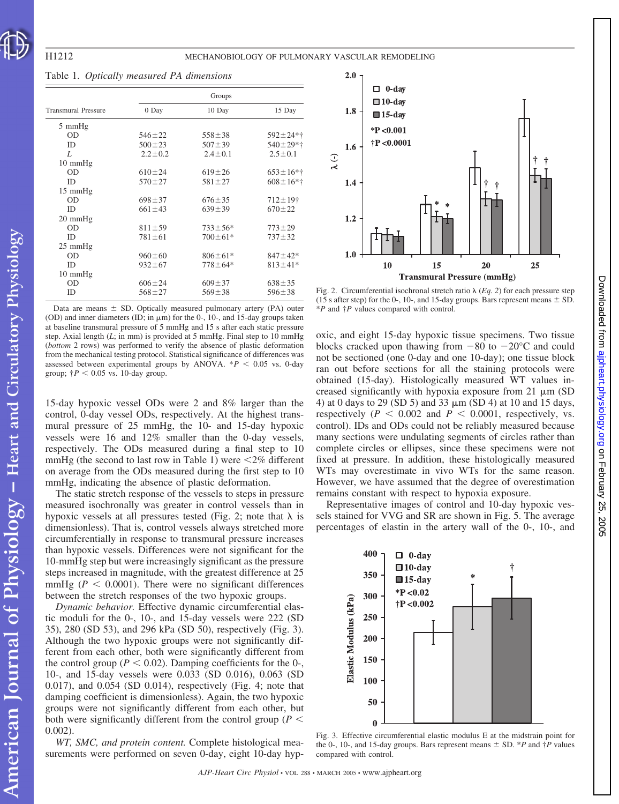| <b>Transmural Pressure</b> | Groups        |               |                           |
|----------------------------|---------------|---------------|---------------------------|
|                            | 0 Day         | 10 Day        | 15 Day                    |
| $5 \text{ mmHg}$           |               |               |                           |
| <b>OD</b>                  | $546 \pm 22$  | $558 \pm 38$  | $592 \pm 24*$             |
| <b>ID</b>                  | $500 \pm 23$  | $507 \pm 39$  | $540 \pm 29*$             |
| L                          | $2.2 \pm 0.2$ | $2.4 \pm 0.1$ | $2.5 \pm 0.1$             |
| $10 \text{ mmHg}$          |               |               |                           |
| <b>OD</b>                  | $610 \pm 24$  | $619 \pm 26$  | $653 \pm 16*$             |
| <b>ID</b>                  | $570 \pm 27$  | $581 \pm 27$  | $608 \pm 16*$             |
| $15 \text{ mmHg}$          |               |               |                           |
| <b>OD</b>                  | $698 \pm 37$  | $676 \pm 35$  | $712 \pm 19$ <sup>+</sup> |
| <b>ID</b>                  | $661 \pm 43$  | $639 \pm 39$  | $670 \pm 22$              |
| $20 \text{ mmHg}$          |               |               |                           |
| <b>OD</b>                  | $811 \pm 59$  | $733 \pm 56*$ | $773 \pm 29$              |
| ID                         | $781 \pm 61$  | $700 \pm 61*$ | $737 + 32$                |
| $25 \text{ mmHg}$          |               |               |                           |
| OD                         | $960 \pm 60$  | $806 \pm 61*$ | $847 \pm 42*$             |
| <b>ID</b>                  | $932 \pm 67$  | $778 \pm 64*$ | $813 \pm 41*$             |
| $10 \text{ mmHg}$          |               |               |                           |
| <b>OD</b>                  | $606 \pm 24$  | $609 \pm 37$  | $638 \pm 35$              |
| ID                         | $568 \pm 27$  | $569 \pm 38$  | $596 \pm 38$              |

### Table 1. *Optically measured PA dimensions*

Data are means  $\pm$  SD. Optically measured pulmonary artery (PA) outer (OD) and inner diameters (ID; in  $\mu$ m) for the 0-, 10-, and 15-day groups taken at baseline transmural pressure of 5 mmHg and 15 s after each static pressure step. Axial length (*L*; in mm) is provided at 5 mmHg. Final step to 10 mmHg (*bottom* 2 rows) was performed to verify the absence of plastic deformation from the mechanical testing protocol. Statistical significance of differences was assessed between experimental groups by ANOVA.  $*P < 0.05$  vs. 0-day group;  $\dagger P < 0.05$  vs. 10-day group.

15-day hypoxic vessel ODs were 2 and 8% larger than the control, 0-day vessel ODs, respectively. At the highest transmural pressure of 25 mmHg, the 10- and 15-day hypoxic vessels were 16 and 12% smaller than the 0-day vessels, respectively. The ODs measured during a final step to 10 mmHg (the second to last row in Table 1) were  $\leq$ 2% different on average from the ODs measured during the first step to 10 mmHg, indicating the absence of plastic deformation.

The static stretch response of the vessels to steps in pressure measured isochronally was greater in control vessels than in hypoxic vessels at all pressures tested (Fig. 2; note that  $\lambda$  is dimensionless). That is, control vessels always stretched more circumferentially in response to transmural pressure increases than hypoxic vessels. Differences were not significant for the 10-mmHg step but were increasingly significant as the pressure steps increased in magnitude, with the greatest difference at 25 mmHg ( $P < 0.0001$ ). There were no significant differences between the stretch responses of the two hypoxic groups.

*Dynamic behavior.* Effective dynamic circumferential elastic moduli for the 0-, 10-, and 15-day vessels were 222 (SD 35), 280 (SD 53), and 296 kPa (SD 50), respectively (Fig. 3). Although the two hypoxic groups were not significantly different from each other, both were significantly different from the control group ( $P < 0.02$ ). Damping coefficients for the 0-, 10-, and 15-day vessels were 0.033 (SD 0.016), 0.063 (SD 0.017), and 0.054 (SD 0.014), respectively (Fig. 4; note that damping coefficient is dimensionless). Again, the two hypoxic groups were not significantly different from each other, but both were significantly different from the control group ( $P \leq$ 0.002).

*WT, SMC, and protein content.* Complete histological measurements were performed on seven 0-day, eight 10-day hyp-



Fig. 2. Circumferential isochronal stretch ratio  $\lambda$  (*Eq. 2*) for each pressure step (15 s after step) for the 0-, 10-, and 15-day groups. Bars represent means  $\pm$  SD. \**P* and †*P* values compared with control.

oxic, and eight 15-day hypoxic tissue specimens. Two tissue blocks cracked upon thawing from  $-80$  to  $-20^{\circ}$ C and could not be sectioned (one 0-day and one 10-day); one tissue block ran out before sections for all the staining protocols were obtained (15-day). Histologically measured WT values increased significantly with hypoxia exposure from  $21 \mu m$  (SD 4) at 0 days to 29 (SD 5) and 33  $\mu$ m (SD 4) at 10 and 15 days, respectively ( $P < 0.002$  and  $P < 0.0001$ , respectively, vs. control). IDs and ODs could not be reliably measured because many sections were undulating segments of circles rather than complete circles or ellipses, since these specimens were not fixed at pressure. In addition, these histologically measured WTs may overestimate in vivo WTs for the same reason. However, we have assumed that the degree of overestimation remains constant with respect to hypoxia exposure.

Representative images of control and 10-day hypoxic vessels stained for VVG and SR are shown in Fig. 5. The average percentages of elastin in the artery wall of the 0-, 10-, and



Fig. 3. Effective circumferential elastic modulus E at the midstrain point for the 0-, 10-, and 15-day groups. Bars represent means  $\pm$  SD. \**P* and  $\dagger$ *P* values compared with control.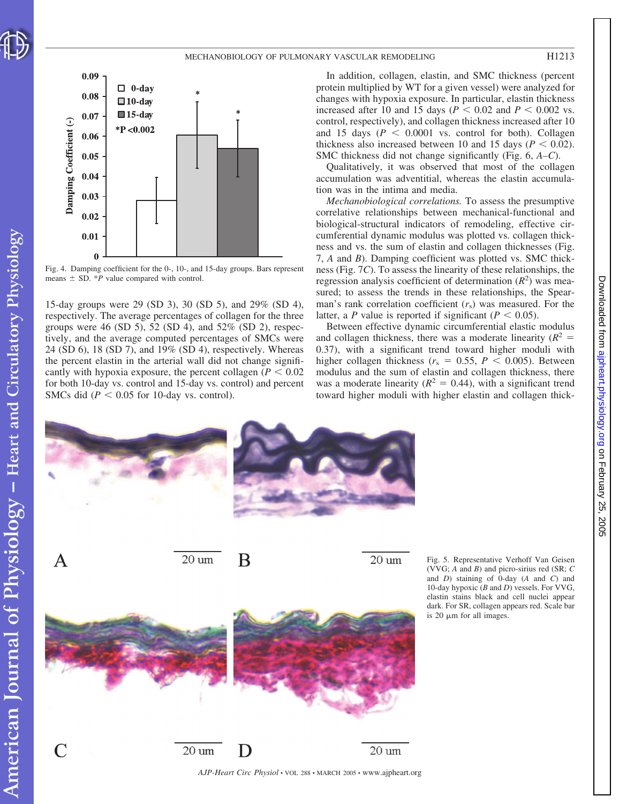

on February 25, 2005 [ajpheart.physiology.org](http://ajpheart.physiology.org) Downloaded from

5002

Downloaded from ajpheart.physiology.org on February 25,



Fig. 4. Damping coefficient for the 0-, 10-, and 15-day groups. Bars represent means  $\pm$  SD. \**P* value compared with control.

15-day groups were 29 (SD 3), 30 (SD 5), and 29% (SD 4), respectively. The average percentages of collagen for the three groups were 46 (SD 5), 52 (SD 4), and 52% (SD 2), respectively, and the average computed percentages of SMCs were 24 (SD 6), 18 (SD 7), and 19% (SD 4), respectively. Whereas the percent elastin in the arterial wall did not change significantly with hypoxia exposure, the percent collagen  $(P < 0.02$ for both 10-day vs. control and 15-day vs. control) and percent SMCs did  $(P < 0.05$  for 10-day vs. control).

In addition, collagen, elastin, and SMC thickness (percent protein multiplied by WT for a given vessel) were analyzed for changes with hypoxia exposure. In particular, elastin thickness increased after 10 and 15 days ( $P < 0.02$  and  $P < 0.002$  vs. control, respectively), and collagen thickness increased after 10 and 15 days  $(P < 0.0001$  vs. control for both). Collagen thickness also increased between 10 and 15 days ( $P < 0.02$ ). SMC thickness did not change significantly (Fig. 6, *A–C*).

Qualitatively, it was observed that most of the collagen accumulation was adventitial, whereas the elastin accumulation was in the intima and media.

*Mechanobiological correlations.* To assess the presumptive correlative relationships between mechanical-functional and biological-structural indicators of remodeling, effective circumferential dynamic modulus was plotted vs. collagen thickness and vs. the sum of elastin and collagen thicknesses (Fig. 7, *A* and *B*). Damping coefficient was plotted vs. SMC thickness (Fig. 7*C*). To assess the linearity of these relationships, the regression analysis coefficient of determination  $(R^2)$  was measured; to assess the trends in these relationships, the Spearman's rank correlation coefficient (*r*s) was measured. For the latter, a *P* value is reported if significant ( $P < 0.05$ ).

Between effective dynamic circumferential elastic modulus and collagen thickness, there was a moderate linearity  $(R^2 =$ 0.37), with a significant trend toward higher moduli with higher collagen thickness ( $r_s = 0.55$ ,  $P < 0.005$ ). Between modulus and the sum of elastin and collagen thickness, there was a moderate linearity  $(R^2 = 0.44)$ , with a significant trend toward higher moduli with higher elastin and collagen thick-



Fig. 5. Representative Verhoff Van Geisen (VVG; *A* and *B*) and picro-sirius red (SR; *C* and *D*) staining of 0-day (*A* and *C*) and 10-day hypoxic (*B* and *D*) vessels. For VVG, elastin stains black and cell nuclei appear dark. For SR, collagen appears red. Scale bar is 20  $\mu$ m for all images.

*AJP-Heart Circ Physiol* • VOL 288 • MARCH 2005 • www.ajpheart.org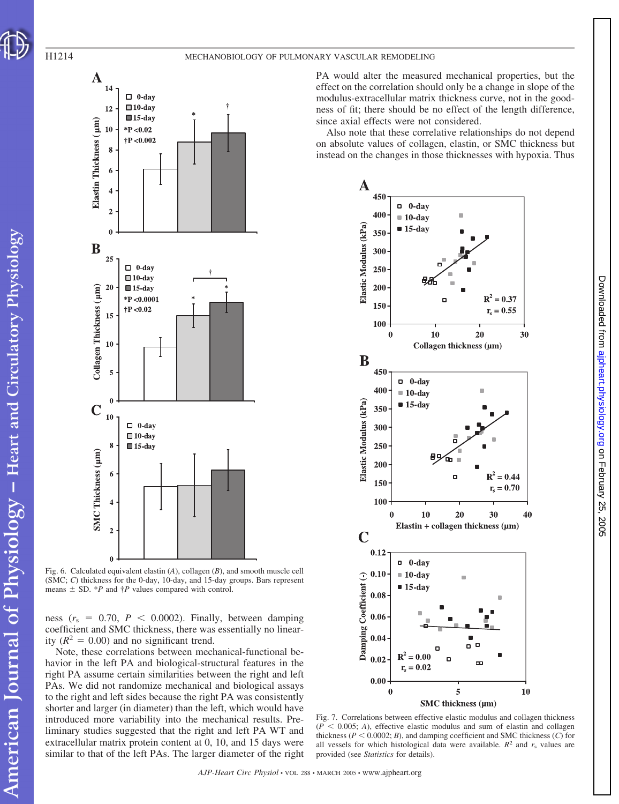

PA would alter the measured mechanical properties, but the effect on the correlation should only be a change in slope of the modulus-extracellular matrix thickness curve, not in the goodness of fit; there should be no effect of the length difference, since axial effects were not considered.

Also note that these correlative relationships do not depend on absolute values of collagen, elastin, or SMC thickness but instead on the changes in those thicknesses with hypoxia. Thus



on February 25, 2005 [ajpheart.physiology.org](http://ajpheart.physiology.org) Downloaded from

5002

Downloaded from ajpheart.physiology.org on February 25,

Fig. 7. Correlations between effective elastic modulus and collagen thickness  $(P \leq 0.005; A)$ , effective elastic modulus and sum of elastin and collagen thickness ( $P < 0.0002$ ; *B*), and damping coefficient and SMC thickness (*C*) for all vessels for which histological data were available.  $R^2$  and  $r_s$  values are provided (see *Statistics* for details).



Fig. 6. Calculated equivalent elastin (*A*), collagen (*B*), and smooth muscle cell (SMC; *C*) thickness for the 0-day, 10-day, and 15-day groups. Bars represent means  $\pm$  SD. \**P* and  $\dagger$ *P* values compared with control.

ness  $(r_s = 0.70, P < 0.0002)$ . Finally, between damping coefficient and SMC thickness, there was essentially no linearity  $(R^2 = 0.00)$  and no significant trend.

Note, these correlations between mechanical-functional behavior in the left PA and biological-structural features in the right PA assume certain similarities between the right and left PAs. We did not randomize mechanical and biological assays to the right and left sides because the right PA was consistently shorter and larger (in diameter) than the left, which would have introduced more variability into the mechanical results. Preliminary studies suggested that the right and left PA WT and extracellular matrix protein content at 0, 10, and 15 days were similar to that of the left PAs. The larger diameter of the right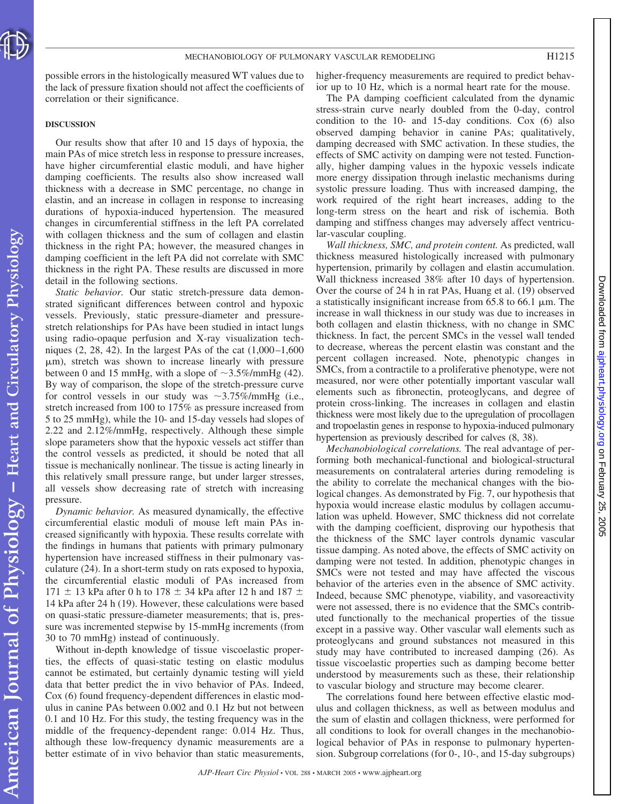

possible errors in the histologically measured WT values due to the lack of pressure fixation should not affect the coefficients of correlation or their significance.

#### **DISCUSSION**

Our results show that after 10 and 15 days of hypoxia, the main PAs of mice stretch less in response to pressure increases, have higher circumferential elastic moduli, and have higher damping coefficients. The results also show increased wall thickness with a decrease in SMC percentage, no change in elastin, and an increase in collagen in response to increasing durations of hypoxia-induced hypertension. The measured changes in circumferential stiffness in the left PA correlated with collagen thickness and the sum of collagen and elastin thickness in the right PA; however, the measured changes in damping coefficient in the left PA did not correlate with SMC thickness in the right PA. These results are discussed in more detail in the following sections.

*Static behavior.* Our static stretch-pressure data demonstrated significant differences between control and hypoxic vessels. Previously, static pressure-diameter and pressurestretch relationships for PAs have been studied in intact lungs using radio-opaque perfusion and X-ray visualization techniques  $(2, 28, 42)$ . In the largest PAs of the cat  $(1,000-1,600)$  $\mu$ m), stretch was shown to increase linearly with pressure between 0 and 15 mmHg, with a slope of  $\sim$ 3.5%/mmHg (42). By way of comparison, the slope of the stretch-pressure curve for control vessels in our study was  $\sim$ 3.75%/mmHg (i.e., stretch increased from 100 to 175% as pressure increased from 5 to 25 mmHg), while the 10- and 15-day vessels had slopes of 2.22 and 2.12%/mmHg, respectively. Although these simple slope parameters show that the hypoxic vessels act stiffer than the control vessels as predicted, it should be noted that all tissue is mechanically nonlinear. The tissue is acting linearly in this relatively small pressure range, but under larger stresses, all vessels show decreasing rate of stretch with increasing pressure.

*Dynamic behavior.* As measured dynamically, the effective circumferential elastic moduli of mouse left main PAs increased significantly with hypoxia. These results correlate with the findings in humans that patients with primary pulmonary hypertension have increased stiffness in their pulmonary vasculature (24). In a short-term study on rats exposed to hypoxia, the circumferential elastic moduli of PAs increased from  $171 \pm 13$  kPa after 0 h to 178  $\pm$  34 kPa after 12 h and 187  $\pm$ 14 kPa after 24 h (19). However, these calculations were based on quasi-static pressure-diameter measurements; that is, pressure was incremented stepwise by 15-mmHg increments (from 30 to 70 mmHg) instead of continuously.

Without in-depth knowledge of tissue viscoelastic properties, the effects of quasi-static testing on elastic modulus cannot be estimated, but certainly dynamic testing will yield data that better predict the in vivo behavior of PAs. Indeed, Cox (6) found frequency-dependent differences in elastic modulus in canine PAs between 0.002 and 0.1 Hz but not between 0.1 and 10 Hz. For this study, the testing frequency was in the middle of the frequency-dependent range: 0.014 Hz. Thus, although these low-frequency dynamic measurements are a better estimate of in vivo behavior than static measurements, higher-frequency measurements are required to predict behavior up to 10 Hz, which is a normal heart rate for the mouse.

The PA damping coefficient calculated from the dynamic stress-strain curve nearly doubled from the 0-day, control condition to the 10- and 15-day conditions. Cox (6) also observed damping behavior in canine PAs; qualitatively, damping decreased with SMC activation. In these studies, the effects of SMC activity on damping were not tested. Functionally, higher damping values in the hypoxic vessels indicate more energy dissipation through inelastic mechanisms during systolic pressure loading. Thus with increased damping, the work required of the right heart increases, adding to the long-term stress on the heart and risk of ischemia. Both damping and stiffness changes may adversely affect ventricular-vascular coupling.

*Wall thickness, SMC, and protein content.* As predicted, wall thickness measured histologically increased with pulmonary hypertension, primarily by collagen and elastin accumulation. Wall thickness increased 38% after 10 days of hypertension. Over the course of 24 h in rat PAs, Huang et al. (19) observed a statistically insignificant increase from  $65.8$  to  $66.1 \mu m$ . The increase in wall thickness in our study was due to increases in both collagen and elastin thickness, with no change in SMC thickness. In fact, the percent SMCs in the vessel wall tended to decrease, whereas the percent elastin was constant and the percent collagen increased. Note, phenotypic changes in SMCs, from a contractile to a proliferative phenotype, were not measured, nor were other potentially important vascular wall elements such as fibronectin, proteoglycans, and degree of protein cross-linking. The increases in collagen and elastin thickness were most likely due to the upregulation of procollagen and tropoelastin genes in response to hypoxia-induced pulmonary hypertension as previously described for calves (8, 38).

*Mechanobiological correlations.* The real advantage of performing both mechanical-functional and biological-structural measurements on contralateral arteries during remodeling is the ability to correlate the mechanical changes with the biological changes. As demonstrated by Fig. 7, our hypothesis that hypoxia would increase elastic modulus by collagen accumulation was upheld. However, SMC thickness did not correlate with the damping coefficient, disproving our hypothesis that the thickness of the SMC layer controls dynamic vascular tissue damping. As noted above, the effects of SMC activity on damping were not tested. In addition, phenotypic changes in SMCs were not tested and may have affected the viscous behavior of the arteries even in the absence of SMC activity. Indeed, because SMC phenotype, viability, and vasoreactivity were not assessed, there is no evidence that the SMCs contributed functionally to the mechanical properties of the tissue except in a passive way. Other vascular wall elements such as proteoglycans and ground substances not measured in this study may have contributed to increased damping (26). As tissue viscoelastic properties such as damping become better understood by measurements such as these, their relationship to vascular biology and structure may become clearer.

The correlations found here between effective elastic modulus and collagen thickness, as well as between modulus and the sum of elastin and collagen thickness, were performed for all conditions to look for overall changes in the mechanobiological behavior of PAs in response to pulmonary hypertension. Subgroup correlations (for 0-, 10-, and 15-day subgroups)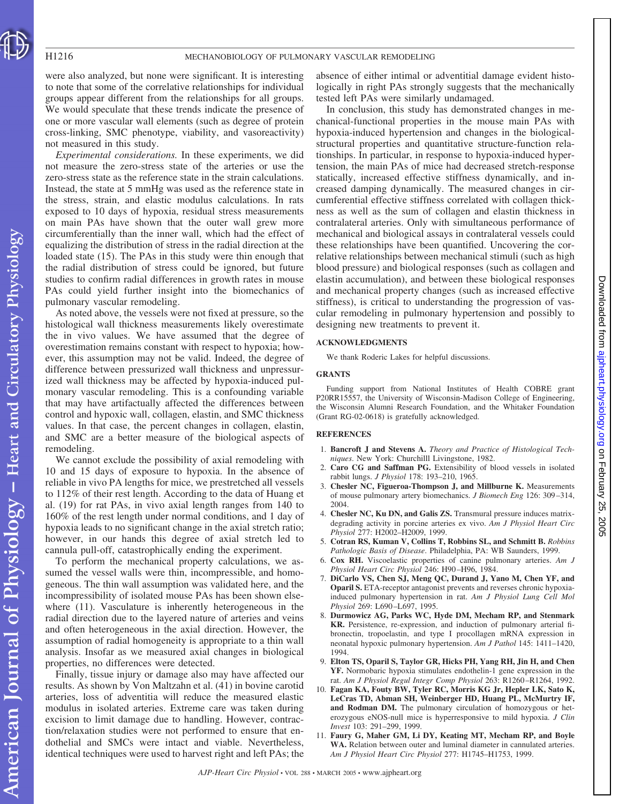were also analyzed, but none were significant. It is interesting to note that some of the correlative relationships for individual groups appear different from the relationships for all groups. We would speculate that these trends indicate the presence of one or more vascular wall elements (such as degree of protein cross-linking, SMC phenotype, viability, and vasoreactivity) not measured in this study.

*Experimental considerations.* In these experiments, we did not measure the zero-stress state of the arteries or use the zero-stress state as the reference state in the strain calculations. Instead, the state at 5 mmHg was used as the reference state in the stress, strain, and elastic modulus calculations. In rats exposed to 10 days of hypoxia, residual stress measurements on main PAs have shown that the outer wall grew more circumferentially than the inner wall, which had the effect of equalizing the distribution of stress in the radial direction at the loaded state (15). The PAs in this study were thin enough that the radial distribution of stress could be ignored, but future studies to confirm radial differences in growth rates in mouse PAs could yield further insight into the biomechanics of pulmonary vascular remodeling.

As noted above, the vessels were not fixed at pressure, so the histological wall thickness measurements likely overestimate the in vivo values. We have assumed that the degree of overestimation remains constant with respect to hypoxia; however, this assumption may not be valid. Indeed, the degree of difference between pressurized wall thickness and unpressurized wall thickness may be affected by hypoxia-induced pulmonary vascular remodeling. This is a confounding variable that may have artifactually affected the differences between control and hypoxic wall, collagen, elastin, and SMC thickness values. In that case, the percent changes in collagen, elastin, and SMC are a better measure of the biological aspects of remodeling.

We cannot exclude the possibility of axial remodeling with 10 and 15 days of exposure to hypoxia. In the absence of reliable in vivo PA lengths for mice, we prestretched all vessels to 112% of their rest length. According to the data of Huang et al. (19) for rat PAs, in vivo axial length ranges from 140 to 160% of the rest length under normal conditions, and 1 day of hypoxia leads to no significant change in the axial stretch ratio; however, in our hands this degree of axial stretch led to cannula pull-off, catastrophically ending the experiment.

To perform the mechanical property calculations, we assumed the vessel walls were thin, incompressible, and homogeneous. The thin wall assumption was validated here, and the incompressibility of isolated mouse PAs has been shown elsewhere (11). Vasculature is inherently heterogeneous in the radial direction due to the layered nature of arteries and veins and often heterogeneous in the axial direction. However, the assumption of radial homogeneity is appropriate to a thin wall analysis. Insofar as we measured axial changes in biological properties, no differences were detected.

Finally, tissue injury or damage also may have affected our results. As shown by Von Maltzahn et al. (41) in bovine carotid arteries, loss of adventitia will reduce the measured elastic modulus in isolated arteries. Extreme care was taken during excision to limit damage due to handling. However, contraction/relaxation studies were not performed to ensure that endothelial and SMCs were intact and viable. Nevertheless, identical techniques were used to harvest right and left PAs; the absence of either intimal or adventitial damage evident histologically in right PAs strongly suggests that the mechanically tested left PAs were similarly undamaged.

In conclusion, this study has demonstrated changes in mechanical-functional properties in the mouse main PAs with hypoxia-induced hypertension and changes in the biologicalstructural properties and quantitative structure-function relationships. In particular, in response to hypoxia-induced hypertension, the main PAs of mice had decreased stretch-response statically, increased effective stiffness dynamically, and increased damping dynamically. The measured changes in circumferential effective stiffness correlated with collagen thickness as well as the sum of collagen and elastin thickness in contralateral arteries. Only with simultaneous performance of mechanical and biological assays in contralateral vessels could these relationships have been quantified. Uncovering the correlative relationships between mechanical stimuli (such as high blood pressure) and biological responses (such as collagen and elastin accumulation), and between these biological responses and mechanical property changes (such as increased effective stiffness), is critical to understanding the progression of vascular remodeling in pulmonary hypertension and possibly to designing new treatments to prevent it.

#### **ACKNOWLEDGMENTS**

We thank Roderic Lakes for helpful discussions.

#### **GRANTS**

Funding support from National Institutes of Health COBRE grant P20RR15557, the University of Wisconsin-Madison College of Engineering, the Wisconsin Alumni Research Foundation, and the Whitaker Foundation (Grant RG-02-0618) is gratefully acknowledged.

#### **REFERENCES**

- 1. **Bancroft J and Stevens A.** *Theory and Practice of Histological Techniques*. New York: Churchilll Livingstone, 1982.
- 2. **Caro CG and Saffman PG.** Extensibility of blood vessels in isolated rabbit lungs. *J Physiol* 178: 193–210, 1965.
- 3. **Chesler NC, Figueroa-Thompson J, and Millburne K.** Measurements of mouse pulmonary artery biomechanics. *J Biomech Eng* 126: 309 –314, 2004.
- 4. **Chesler NC, Ku DN, and Galis ZS.** Transmural pressure induces matrixdegrading activity in porcine arteries ex vivo. *Am J Physiol Heart Circ Physiol* 277: H2002–H2009, 1999.
- 5. **Cotran RS, Kuman V, Collins T, Robbins SL, and Schmitt B.** *Robbins Pathologic Basis of Disease*. Philadelphia, PA: WB Saunders, 1999.
- 6. **Cox RH.** Viscoelastic properties of canine pulmonary arteries. *Am J Physiol Heart Circ Physiol* 246: H90 –H96, 1984.
- 7. **DiCarlo VS, Chen SJ, Meng QC, Durand J, Yano M, Chen YF, and Oparil S.** ETA-receptor antagonist prevents and reverses chronic hypoxiainduced pulmonary hypertension in rat. *Am J Physiol Lung Cell Mol Physiol* 269: L690 –L697, 1995.
- 8. **Durmowicz AG, Parks WC, Hyde DM, Mecham RP, and Stenmark KR.** Persistence, re-expression, and induction of pulmonary arterial fibronectin, tropoelastin, and type I procollagen mRNA expression in neonatal hypoxic pulmonary hypertension. *Am J Pathol* 145: 1411–1420, 1994.
- 9. **Elton TS, Oparil S, Taylor GR, Hicks PH, Yang RH, Jin H, and Chen YF.** Normobaric hypoxia stimulates endothelin-1 gene expression in the rat. *Am J Physiol Regul Integr Comp Physiol* 263: R1260 –R1264, 1992.
- 10. **Fagan KA, Fouty BW, Tyler RC, Morris KG Jr, Hepler LK, Sato K, LeCras TD, Abman SH, Weinberger HD, Huang PL, McMurtry IF, and Rodman DM.** The pulmonary circulation of homozygous or heterozygous eNOS-null mice is hyperresponsive to mild hypoxia. *J Clin Invest* 103: 291–299, 1999.
- 11. **Faury G, Maher GM, Li DY, Keating MT, Mecham RP, and Boyle WA.** Relation between outer and luminal diameter in cannulated arteries. *Am J Physiol Heart Circ Physiol* 277: H1745–H1753, 1999.

American Journal of Physiology - Heart and Circulatory Physiology